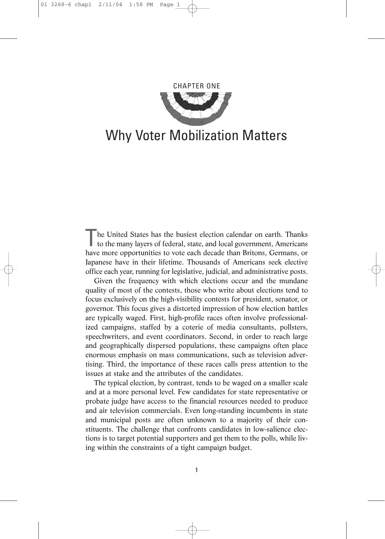

# Why Voter Mobilization Matters

The United States has the busiest election calendar on earth. Thanks<br>to the many layers of federal, state, and local government, Americans have more opportunities to vote each decade than Britons, Germans, or Japanese have in their lifetime. Thousands of Americans seek elective office each year, running for legislative, judicial, and administrative posts.

Given the frequency with which elections occur and the mundane quality of most of the contests, those who write about elections tend to focus exclusively on the high-visibility contests for president, senator, or governor. This focus gives a distorted impression of how election battles are typically waged. First, high-profile races often involve professionalized campaigns, staffed by a coterie of media consultants, pollsters, speechwriters, and event coordinators. Second, in order to reach large and geographically dispersed populations, these campaigns often place enormous emphasis on mass communications, such as television advertising. Third, the importance of these races calls press attention to the issues at stake and the attributes of the candidates.

The typical election, by contrast, tends to be waged on a smaller scale and at a more personal level. Few candidates for state representative or probate judge have access to the financial resources needed to produce and air television commercials. Even long-standing incumbents in state and municipal posts are often unknown to a majority of their constituents. The challenge that confronts candidates in low-salience elections is to target potential supporters and get them to the polls, while living within the constraints of a tight campaign budget.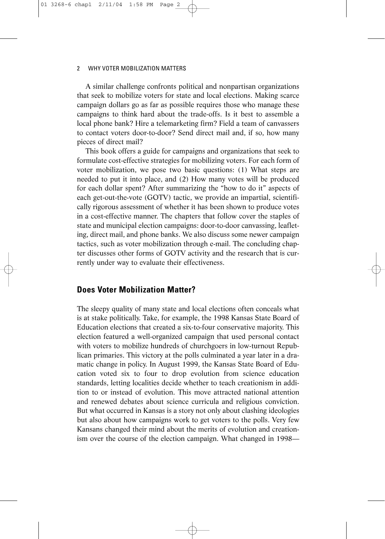#### 2 WHY VOTER MOBILIZATION MATTERS

A similar challenge confronts political and nonpartisan organizations that seek to mobilize voters for state and local elections. Making scarce campaign dollars go as far as possible requires those who manage these campaigns to think hard about the trade-offs. Is it best to assemble a local phone bank? Hire a telemarketing firm? Field a team of canvassers to contact voters door-to-door? Send direct mail and, if so, how many pieces of direct mail?

This book offers a guide for campaigns and organizations that seek to formulate cost-effective strategies for mobilizing voters. For each form of voter mobilization, we pose two basic questions: (1) What steps are needed to put it into place, and (2) How many votes will be produced for each dollar spent? After summarizing the "how to do it" aspects of each get-out-the-vote (GOTV) tactic, we provide an impartial, scientifically rigorous assessment of whether it has been shown to produce votes in a cost-effective manner. The chapters that follow cover the staples of state and municipal election campaigns: door-to-door canvassing, leafleting, direct mail, and phone banks. We also discuss some newer campaign tactics, such as voter mobilization through e-mail. The concluding chapter discusses other forms of GOTV activity and the research that is currently under way to evaluate their effectiveness.

# **Does Voter Mobilization Matter?**

The sleepy quality of many state and local elections often conceals what is at stake politically. Take, for example, the 1998 Kansas State Board of Education elections that created a six-to-four conservative majority. This election featured a well-organized campaign that used personal contact with voters to mobilize hundreds of churchgoers in low-turnout Republican primaries. This victory at the polls culminated a year later in a dramatic change in policy. In August 1999, the Kansas State Board of Education voted six to four to drop evolution from science education standards, letting localities decide whether to teach creationism in addition to or instead of evolution. This move attracted national attention and renewed debates about science curricula and religious conviction. But what occurred in Kansas is a story not only about clashing ideologies but also about how campaigns work to get voters to the polls. Very few Kansans changed their mind about the merits of evolution and creationism over the course of the election campaign. What changed in 1998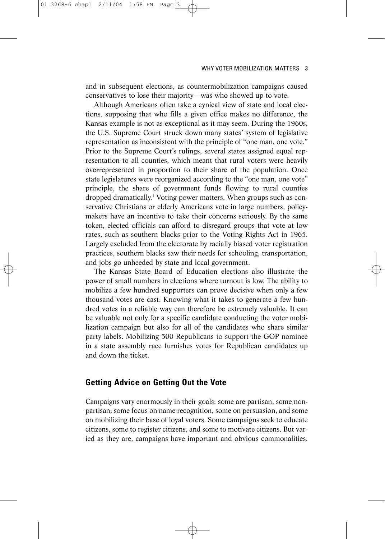and in subsequent elections, as countermobilization campaigns caused conservatives to lose their majority—was who showed up to vote.

Although Americans often take a cynical view of state and local elections, supposing that who fills a given office makes no difference, the Kansas example is not as exceptional as it may seem. During the 1960s, the U.S. Supreme Court struck down many states' system of legislative representation as inconsistent with the principle of "one man, one vote." Prior to the Supreme Court's rulings, several states assigned equal representation to all counties, which meant that rural voters were heavily overrepresented in proportion to their share of the population. Once state legislatures were reorganized according to the "one man, one vote" principle, the share of government funds flowing to rural counties dropped dramatically.<sup>1</sup> Voting power matters. When groups such as conservative Christians or elderly Americans vote in large numbers, policymakers have an incentive to take their concerns seriously. By the same token, elected officials can afford to disregard groups that vote at low rates, such as southern blacks prior to the Voting Rights Act in 1965. Largely excluded from the electorate by racially biased voter registration practices, southern blacks saw their needs for schooling, transportation, and jobs go unheeded by state and local government.

The Kansas State Board of Education elections also illustrate the power of small numbers in elections where turnout is low. The ability to mobilize a few hundred supporters can prove decisive when only a few thousand votes are cast. Knowing what it takes to generate a few hundred votes in a reliable way can therefore be extremely valuable. It can be valuable not only for a specific candidate conducting the voter mobilization campaign but also for all of the candidates who share similar party labels. Mobilizing 500 Republicans to support the GOP nominee in a state assembly race furnishes votes for Republican candidates up and down the ticket.

#### **Getting Advice on Getting Out the Vote**

Campaigns vary enormously in their goals: some are partisan, some nonpartisan; some focus on name recognition, some on persuasion, and some on mobilizing their base of loyal voters. Some campaigns seek to educate citizens, some to register citizens, and some to motivate citizens. But varied as they are, campaigns have important and obvious commonalities.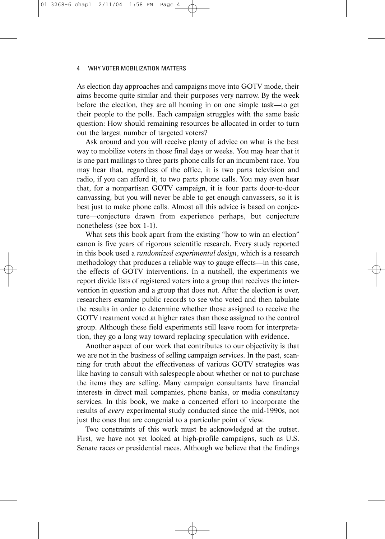As election day approaches and campaigns move into GOTV mode, their aims become quite similar and their purposes very narrow. By the week before the election, they are all homing in on one simple task—to get their people to the polls. Each campaign struggles with the same basic question: How should remaining resources be allocated in order to turn out the largest number of targeted voters?

Ask around and you will receive plenty of advice on what is the best way to mobilize voters in those final days or weeks. You may hear that it is one part mailings to three parts phone calls for an incumbent race. You may hear that, regardless of the office, it is two parts television and radio, if you can afford it, to two parts phone calls. You may even hear that, for a nonpartisan GOTV campaign, it is four parts door-to-door canvassing, but you will never be able to get enough canvassers, so it is best just to make phone calls. Almost all this advice is based on conjecture—conjecture drawn from experience perhaps, but conjecture nonetheless (see box 1-1).

What sets this book apart from the existing "how to win an election" canon is five years of rigorous scientific research. Every study reported in this book used a *randomized experimental design*, which is a research methodology that produces a reliable way to gauge effects—in this case, the effects of GOTV interventions. In a nutshell, the experiments we report divide lists of registered voters into a group that receives the intervention in question and a group that does not. After the election is over, researchers examine public records to see who voted and then tabulate the results in order to determine whether those assigned to receive the GOTV treatment voted at higher rates than those assigned to the control group. Although these field experiments still leave room for interpretation, they go a long way toward replacing speculation with evidence.

Another aspect of our work that contributes to our objectivity is that we are not in the business of selling campaign services. In the past, scanning for truth about the effectiveness of various GOTV strategies was like having to consult with salespeople about whether or not to purchase the items they are selling. Many campaign consultants have financial interests in direct mail companies, phone banks, or media consultancy services. In this book, we make a concerted effort to incorporate the results of *every* experimental study conducted since the mid-1990s, not just the ones that are congenial to a particular point of view.

Two constraints of this work must be acknowledged at the outset. First, we have not yet looked at high-profile campaigns, such as U.S. Senate races or presidential races. Although we believe that the findings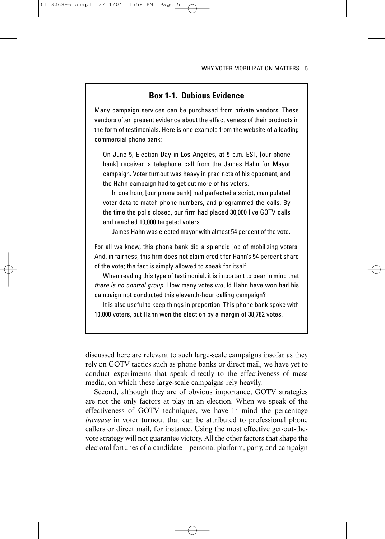# **Box 1-1. Dubious Evidence**

Many campaign services can be purchased from private vendors. These vendors often present evidence about the effectiveness of their products in the form of testimonials. Here is one example from the website of a leading commercial phone bank:

On June 5, Election Day in Los Angeles, at 5 p.m. EST, [our phone bank] received a telephone call from the James Hahn for Mayor campaign. Voter turnout was heavy in precincts of his opponent, and the Hahn campaign had to get out more of his voters.

In one hour, [our phone bank] had perfected a script, manipulated voter data to match phone numbers, and programmed the calls. By the time the polls closed, our firm had placed 30,000 live GOTV calls and reached 10,000 targeted voters.

James Hahn was elected mayor with almost 54 percent of the vote.

For all we know, this phone bank did a splendid job of mobilizing voters. And, in fairness, this firm does not claim credit for Hahn's 54 percent share of the vote; the fact is simply allowed to speak for itself.

When reading this type of testimonial, it is important to bear in mind that *there is no control group.* How many votes would Hahn have won had his campaign not conducted this eleventh-hour calling campaign?

It is also useful to keep things in proportion. This phone bank spoke with 10,000 voters, but Hahn won the election by a margin of 38,782 votes.

discussed here are relevant to such large-scale campaigns insofar as they rely on GOTV tactics such as phone banks or direct mail, we have yet to conduct experiments that speak directly to the effectiveness of mass media, on which these large-scale campaigns rely heavily.

Second, although they are of obvious importance, GOTV strategies are not the only factors at play in an election. When we speak of the effectiveness of GOTV techniques, we have in mind the percentage *increase* in voter turnout that can be attributed to professional phone callers or direct mail, for instance. Using the most effective get-out-thevote strategy will not guarantee victory. All the other factors that shape the electoral fortunes of a candidate—persona, platform, party, and campaign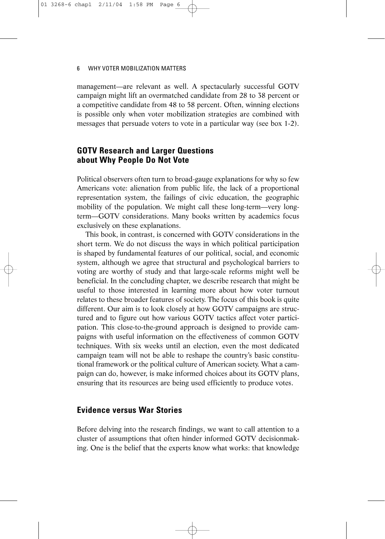management—are relevant as well. A spectacularly successful GOTV campaign might lift an overmatched candidate from 28 to 38 percent or a competitive candidate from 48 to 58 percent. Often, winning elections is possible only when voter mobilization strategies are combined with messages that persuade voters to vote in a particular way (see box 1-2).

### **GOTV Research and Larger Questions about Why People Do Not Vote**

Political observers often turn to broad-gauge explanations for why so few Americans vote: alienation from public life, the lack of a proportional representation system, the failings of civic education, the geographic mobility of the population. We might call these long-term—very longterm—GOTV considerations. Many books written by academics focus exclusively on these explanations.

This book, in contrast, is concerned with GOTV considerations in the short term. We do not discuss the ways in which political participation is shaped by fundamental features of our political, social, and economic system, although we agree that structural and psychological barriers to voting are worthy of study and that large-scale reforms might well be beneficial. In the concluding chapter, we describe research that might be useful to those interested in learning more about how voter turnout relates to these broader features of society. The focus of this book is quite different. Our aim is to look closely at how GOTV campaigns are structured and to figure out how various GOTV tactics affect voter participation. This close-to-the-ground approach is designed to provide campaigns with useful information on the effectiveness of common GOTV techniques. With six weeks until an election, even the most dedicated campaign team will not be able to reshape the country's basic constitutional framework or the political culture of American society. What a campaign can do, however, is make informed choices about its GOTV plans, ensuring that its resources are being used efficiently to produce votes.

# **Evidence versus War Stories**

Before delving into the research findings, we want to call attention to a cluster of assumptions that often hinder informed GOTV decisionmaking. One is the belief that the experts know what works: that knowledge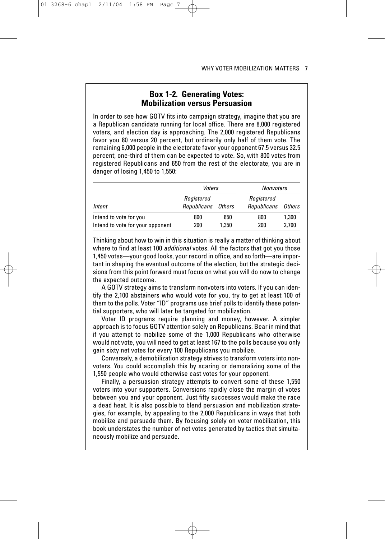#### **Box 1-2. Generating Votes: Mobilization versus Persuasion**

In order to see how GOTV fits into campaign strategy, imagine that you are a Republican candidate running for local office. There are 8,000 registered voters, and election day is approaching. The 2,000 registered Republicans favor you 80 versus 20 percent, but ordinarily only half of them vote. The remaining 6,000 people in the electorate favor your opponent 67.5 versus 32.5 percent; one-third of them can be expected to vote. So, with 800 votes from registered Republicans and 650 from the rest of the electorate, you are in danger of losing 1,450 to 1,550:

| Voters     |     | Nonvoters                   |                |
|------------|-----|-----------------------------|----------------|
| Registered |     | Registered<br>Republicans   | Others         |
| 800        | 650 | 800                         | 1,300<br>2.700 |
|            | 200 | Republicans Others<br>1.350 | 200            |

Thinking about how to win in this situation is really a matter of thinking about where to find at least 100 *additional* votes. All the factors that got you those 1,450 votes—your good looks, your record in office, and so forth—are important in shaping the eventual outcome of the election, but the strategic decisions from this point forward must focus on what you will do now to change the expected outcome.

A GOTV strategy aims to transform nonvoters into voters. If you can identify the 2,100 abstainers who would vote for you, try to get at least 100 of them to the polls. Voter "ID" programs use brief polls to identify these potential supporters, who will later be targeted for mobilization.

Voter ID programs require planning and money, however. A simpler approach is to focus GOTV attention solely on Republicans. Bear in mind that if you attempt to mobilize some of the 1,000 Republicans who otherwise would not vote, you will need to get at least 167 to the polls because you only gain sixty net votes for every 100 Republicans you mobilize.

Conversely, a demobilization strategy strives to transform voters into nonvoters. You could accomplish this by scaring or demoralizing some of the 1,550 people who would otherwise cast votes for your opponent.

Finally, a persuasion strategy attempts to convert some of these 1,550 voters into your supporters. Conversions rapidly close the margin of votes between you and your opponent. Just fifty successes would make the race a dead heat. It is also possible to blend persuasion and mobilization strategies, for example, by appealing to the 2,000 Republicans in ways that both mobilize and persuade them. By focusing solely on voter mobilization, this book understates the number of net votes generated by tactics that simultaneously mobilize and persuade.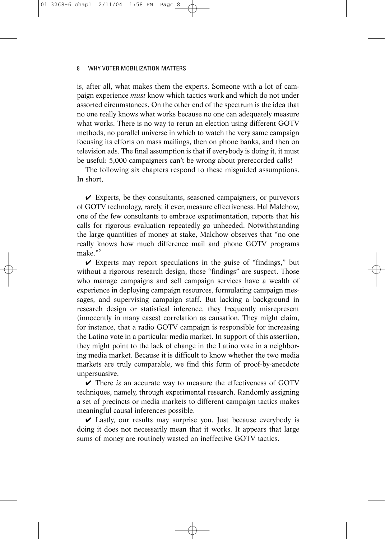is, after all, what makes them the experts. Someone with a lot of campaign experience *must* know which tactics work and which do not under assorted circumstances. On the other end of the spectrum is the idea that no one really knows what works because no one can adequately measure what works. There is no way to rerun an election using different GOTV methods, no parallel universe in which to watch the very same campaign focusing its efforts on mass mailings, then on phone banks, and then on television ads. The final assumption is that if everybody is doing it, it must be useful: 5,000 campaigners can't be wrong about prerecorded calls!

The following six chapters respond to these misguided assumptions. In short,

 $\checkmark$  Experts, be they consultants, seasoned campaigners, or purveyors of GOTV technology, rarely, if ever, measure effectiveness. Hal Malchow, one of the few consultants to embrace experimentation, reports that his calls for rigorous evaluation repeatedly go unheeded. Notwithstanding the large quantities of money at stake, Malchow observes that "no one really knows how much difference mail and phone GOTV programs make."<sup>2</sup>

 $\checkmark$  Experts may report speculations in the guise of "findings," but without a rigorous research design, those "findings" are suspect. Those who manage campaigns and sell campaign services have a wealth of experience in deploying campaign resources, formulating campaign messages, and supervising campaign staff. But lacking a background in research design or statistical inference, they frequently misrepresent (innocently in many cases) correlation as causation. They might claim, for instance, that a radio GOTV campaign is responsible for increasing the Latino vote in a particular media market. In support of this assertion, they might point to the lack of change in the Latino vote in a neighboring media market. Because it is difficult to know whether the two media markets are truly comparable, we find this form of proof-by-anecdote unpersuasive.

✔ There *is* an accurate way to measure the effectiveness of GOTV techniques, namely, through experimental research. Randomly assigning a set of precincts or media markets to different campaign tactics makes meaningful causal inferences possible.

 $\vee$  Lastly, our results may surprise you. Just because everybody is doing it does not necessarily mean that it works. It appears that large sums of money are routinely wasted on ineffective GOTV tactics.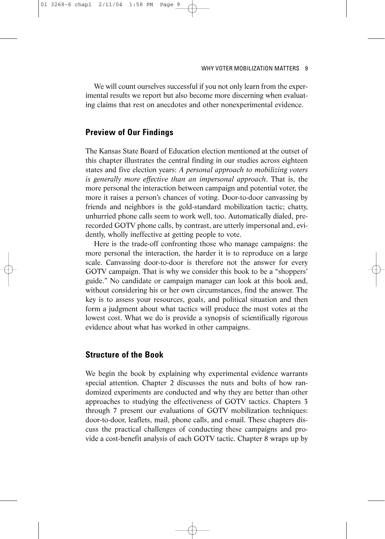We will count ourselves successful if you not only learn from the experimental results we report but also become more discerning when evaluating claims that rest on anecdotes and other nonexperimental evidence.

# **Preview of Our Findings**

The Kansas State Board of Education election mentioned at the outset of this chapter illustrates the central finding in our studies across eighteen states and five election years: *A personal approach to mobilizing voters is generally more effective than an impersonal approach*. That is, the more personal the interaction between campaign and potential voter, the more it raises a person's chances of voting. Door-to-door canvassing by friends and neighbors is the gold-standard mobilization tactic; chatty, unhurried phone calls seem to work well, too. Automatically dialed, prerecorded GOTV phone calls, by contrast, are utterly impersonal and, evidently, wholly ineffective at getting people to vote.

Here is the trade-off confronting those who manage campaigns: the more personal the interaction, the harder it is to reproduce on a large scale. Canvassing door-to-door is therefore not the answer for every GOTV campaign. That is why we consider this book to be a "shoppers' guide." No candidate or campaign manager can look at this book and, without considering his or her own circumstances, find the answer. The key is to assess your resources, goals, and political situation and then form a judgment about what tactics will produce the most votes at the lowest cost. What we do is provide a synopsis of scientifically rigorous evidence about what has worked in other campaigns.

#### **Structure of the Book**

We begin the book by explaining why experimental evidence warrants special attention. Chapter 2 discusses the nuts and bolts of how randomized experiments are conducted and why they are better than other approaches to studying the effectiveness of GOTV tactics. Chapters 3 through 7 present our evaluations of GOTV mobilization techniques: door-to-door, leaflets, mail, phone calls, and e-mail. These chapters discuss the practical challenges of conducting these campaigns and provide a cost-benefit analysis of each GOTV tactic. Chapter 8 wraps up by